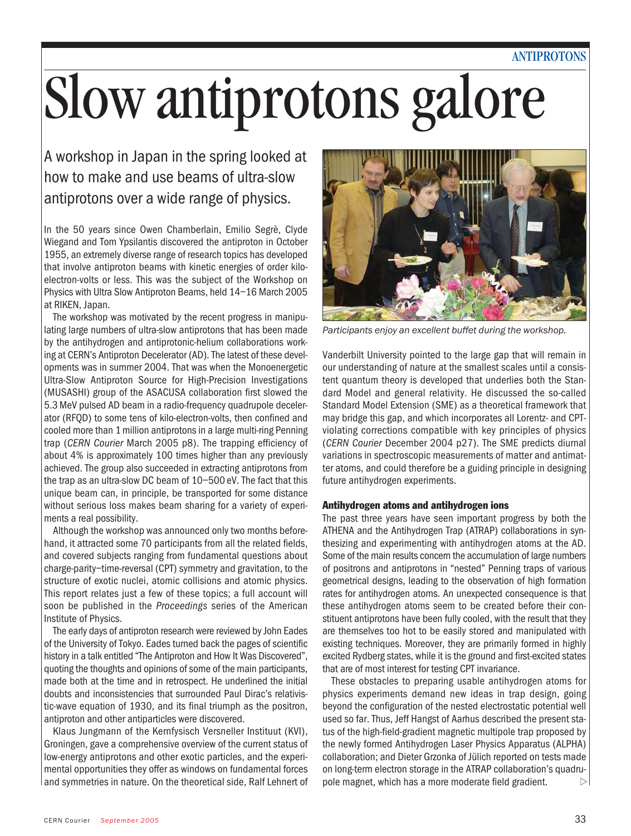# ANTIPROTONS

# Slow antiprotons galore

A workshop in Japan in the spring looked at how to make and use beams of ultra-slow antiprotons over a wide range of physics.

In the 50 years since Owen Chamberlain, Emilio Segrè, Clyde Wiegand and Tom Ypsilantis discovered the antiproton in October 1955, an extremely diverse range of research topics has developed that involve antiproton beams with kinetic energies of order kiloelectron-volts or less. This was the subject of the Workshop on Physics with Ultra Slow Antiproton Beams, held 14–16 March 2005 at RIKEN, Japan.

The workshop was motivated by the recent progress in manipulating large numbers of ultra-slow antiprotons that has been made by the antihydrogen and antiprotonic-helium collaborations working at CERN's Antiproton Decelerator (AD). The latest of these developments was in summer 2004. That was when the Monoenergetic Ultra-Slow Antiproton Source for High-Precision Investigations (MUSASHI) group of the ASACUSA collaboration first slowed the 5.3 MeV pulsed AD beam in a radio-frequency quadrupole decelerator (RFQD) to some tens of kilo-electron-volts, then confined and cooled more than 1 million antiprotons in a large multi-ring Penning trap (*CERN Courier* March 2005 p8). The trapping efficiency of about 4% is approximately 100 times higher than any previously achieved. The group also succeeded in extracting antiprotons from the trap as an ultra-slow DC beam of 10–500 eV. The fact that this unique beam can, in principle, be transported for some distance without serious loss makes beam sharing for a variety of experiments a real possibility.

Although the workshop was announced only two months beforehand, it attracted some 70 participants from all the related fields, and covered subjects ranging from fundamental questions about charge-parity–time-reversal (CPT) symmetry and gravitation, to the structure of exotic nuclei, atomic collisions and atomic physics. This report relates just a few of these topics; a full account will soon be published in the *Proceedings* series of the American Institute of Physics.

The early days of antiproton research were reviewed by John Eades of the University of Tokyo. Eades turned back the pages of scientific history in a talk entitled "The Antiproton and How It Was Discovered", quoting the thoughts and opinions of some of the main participants, made both at the time and in retrospect. He underlined the initial doubts and inconsistencies that surrounded Paul Dirac's relativistic-wave equation of 1930, and its final triumph as the positron, antiproton and other antiparticles were discovered.

Klaus Jungmann of the Kernfysisch Versneller Instituut (KVI), Groningen, gave a comprehensive overview of the current status of low-energy antiprotons and other exotic particles, and the experimental opportunities they offer as windows on fundamental forces and symmetries in nature. On the theoretical side, Ralf Lehnert of



*Participants enjoy an excellent buffet during the workshop.*

Vanderbilt University pointed to the large gap that will remain in our understanding of nature at the smallest scales until a consistent quantum theory is developed that underlies both the Standard Model and general relativity. He discussed the so-called Standard Model Extension (SME) as a theoretical framework that may bridge this gap, and which incorporates all Lorentz- and CPTviolating corrections compatible with key principles of physics (*CERN Courier* December 2004 p27). The SME predicts diurnal variations in spectroscopic measurements of matter and antimatter atoms, and could therefore be a guiding principle in designing future antihydrogen experiments.

### Antihydrogen atoms and antihydrogen ions

The past three years have seen important progress by both the ATHENA and the Antihydrogen Trap (ATRAP) collaborations in synthesizing and experimenting with antihydrogen atoms at the AD. Some of the main results concern the accumulation of large numbers of positrons and antiprotons in "nested" Penning traps of various geometrical designs, leading to the observation of high formation rates for antihydrogen atoms. An unexpected consequence is that these antihydrogen atoms seem to be created before their constituent antiprotons have been fully cooled, with the result that they are themselves too hot to be easily stored and manipulated with existing techniques. Moreover, they are primarily formed in highly excited Rydberg states, while it is the ground and first-excited states that are of most interest for testing CPT invariance.

These obstacles to preparing usable antihydrogen atoms for physics experiments demand new ideas in trap design, going beyond the configuration of the nested electrostatic potential well used so far. Thus, Jeff Hangst of Aarhus described the present status of the high-field-gradient magnetic multipole trap proposed by the newly formed Antihydrogen Laser Physics Apparatus (ALPHA) collaboration; and Dieter Grzonka of Jülich reported on tests made on long-term electron storage in the ATRAP collaboration's quadrupole magnet, which has a more moderate field gradient.  $\triangleright$